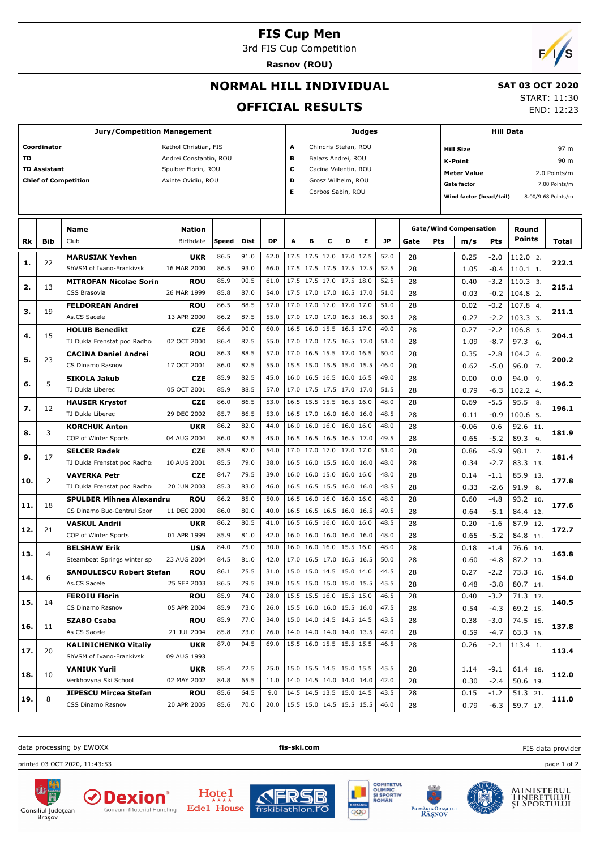#### **FIS Cup Men**

3rd FIS Cup Competition

**Rasnov (ROU)**

# $F/1/S$

END: 12:23

## **NORMAL HILL INDIVIDUAL**

#### **SAT 03 OCT 2020** START: 11:30

**OFFICIAL RESULTS**

T

|     |                                    | <b>Jury/Competition Management</b>                            | Judges                                                                                       |              |                                                                                                                                        |                                        |   |                                                      |   | <b>Hill Data</b> |   |              |                                                                                                                   |     |                                      |                                               |                        |              |
|-----|------------------------------------|---------------------------------------------------------------|----------------------------------------------------------------------------------------------|--------------|----------------------------------------------------------------------------------------------------------------------------------------|----------------------------------------|---|------------------------------------------------------|---|------------------|---|--------------|-------------------------------------------------------------------------------------------------------------------|-----|--------------------------------------|-----------------------------------------------|------------------------|--------------|
| TD  | Coordinator<br><b>TD Assistant</b> | <b>Chief of Competition</b>                                   | Kathol Christian, FIS<br>Andrei Constantin, ROU<br>Spulber Florin, ROU<br>Axinte Ovidiu, ROU |              | A<br>Chindris Stefan, ROU<br>в<br>Balazs Andrei, ROU<br>c<br>Cacina Valentin, ROU<br>D<br>Grosz Wilhelm, ROU<br>E<br>Corbos Sabin, ROU |                                        |   |                                                      |   |                  |   |              | <b>Hill Size</b><br>K-Point<br><b>Meter Value</b><br>Gate factor<br>Wind factor (head/tail)<br>8.00/9.68 Points/m |     |                                      | 97 m<br>90 m<br>2.0 Points/m<br>7.00 Points/m |                        |              |
| Rk  | <b>Bib</b>                         | <b>Name</b><br>Club                                           | <b>Nation</b><br>Birthdate                                                                   | Speed        | Dist                                                                                                                                   | <b>DP</b>                              | A | в                                                    | с | D                | Е | JP           | Gate                                                                                                              | Pts | <b>Gate/Wind Compensation</b><br>m/s | Pts                                           | Round<br><b>Points</b> | <b>Total</b> |
| 1.  | 22                                 | <b>MARUSIAK Yevhen</b><br>ShVSM of Ivano-Frankivsk            | UKR<br>16 MAR 2000                                                                           | 86.5<br>86.5 | 91.0<br>93.0                                                                                                                           | 62.0<br>66.0                           |   | 17.5 17.5 17.0 17.0 17.5<br>17.5 17.5 17.5 17.5 17.5 |   |                  |   | 52.0<br>52.5 | 28<br>28                                                                                                          |     | 0.25<br>1.05                         | $-2.0$<br>-8.4                                | 112.0 2.<br>110.1 1.   | 222.1        |
| 2.  | 13                                 | <b>MITROFAN Nicolae Sorin</b><br>CSS Brasovia                 | <b>ROU</b><br>26 MAR 1999                                                                    | 85.9<br>85.8 | 90.5<br>87.0                                                                                                                           | 61.0<br>54.0                           |   | 17.5 17.5 17.0 17.5 18.0<br>17.5 17.0 17.0 16.5 17.0 |   |                  |   | 52.5<br>51.0 | 28<br>28                                                                                                          |     | 0.40<br>0.03                         | $-3.2$<br>$-0.2$                              | 110.3 3.<br>104.8 2.   | 215.1        |
| з.  | 19                                 | <b>FELDOREAN Andrei</b><br>As.CS Sacele                       | <b>ROU</b><br>13 APR 2000                                                                    | 86.5<br>86.2 | 88.5<br>87.5                                                                                                                           | 57.0<br>55.0                           |   | 17.0 17.0 17.0 17.0 17.0<br>17.0 17.0 17.0 16.5 16.5 |   |                  |   | 51.0<br>50.5 | 28<br>28                                                                                                          |     | 0.02<br>0.27                         | $-0.2$<br>$-2.2$                              | 107.8 4.<br>$103.33$ . | 211.1        |
| 4.  | 15                                 | <b>HOLUB Benedikt</b><br>TJ Dukla Frenstat pod Radho:         | <b>CZE</b><br>02 OCT 2000                                                                    | 86.6<br>86.4 | 90.0<br>87.5                                                                                                                           | 60.0<br>55.0                           |   | 16.5 16.0 15.5 16.5 17.0<br>17.0 17.0 17.5 16.5 17.0 |   |                  |   | 49.0<br>51.0 | 28<br>28                                                                                                          |     | 0.27<br>1.09                         | $-2.2$<br>$-8.7$                              | 106.8 5.<br>97.3 6.    | 204.1        |
| 5.  | 23                                 | <b>CACINA Daniel Andrei</b><br>CS Dinamo Rasnov               | ROU<br>17 OCT 2001                                                                           | 86.3<br>86.0 | 88.5<br>87.5                                                                                                                           | 57.0<br>55.0                           |   | 17.0 16.5 15.5 17.0 16.5<br>15.5 15.0 15.5 15.0 15.5 |   |                  |   | 50.0<br>46.0 | 28<br>28                                                                                                          |     | 0.35<br>0.62                         | $-2.8$<br>$-5.0$                              | 104.2 6.<br>96.0 7.    | 200.2        |
| 6.  | 5                                  | <b>SIKOLA Jakub</b><br>TJ Dukla Liberec                       | CZE<br>05 OCT 2001                                                                           | 85.9<br>85.9 | 82.5<br>88.5                                                                                                                           | 45.0<br>57.0                           |   | 16.0 16.5 16.5 16.0 16.5<br>17.0 17.5 17.5 17.0 17.0 |   |                  |   | 49.0<br>51.5 | 28<br>28                                                                                                          |     | 0.00<br>0.79                         | 0.0<br>$-6.3$                                 | 94.0 9.<br>102.2 4.    | 196.2        |
| 7.  | 12                                 | <b>HAUSER Krystof</b><br>TJ Dukla Liberec                     | CZE<br>29 DEC 2002                                                                           | 86.0<br>85.7 | 86.5<br>86.5                                                                                                                           | 53.0<br>53.0                           |   | 16.5 15.5 15.5 16.5 16.0<br>16.5 17.0 16.0 16.0 16.0 |   |                  |   | 48.0<br>48.5 | 28<br>28                                                                                                          |     | 0.69<br>0.11                         | $-5.5$<br>$-0.9$                              | 95.5 8.<br>$100.6$ 5.  | 196.1        |
| 8.  | 3                                  | <b>KORCHUK Anton</b><br>COP of Winter Sports                  | <b>UKR</b><br>04 AUG 2004                                                                    | 86.2<br>86.0 | 82.0<br>82.5                                                                                                                           | 44.0<br>45.0                           |   | 16.0 16.0 16.0 16.0 16.0<br>16.5 16.5 16.5 16.5 17.0 |   |                  |   | 48.0<br>49.5 | 28<br>28                                                                                                          |     | $-0.06$<br>0.65                      | 0.6<br>$-5.2$                                 | 92.6 11.<br>89.3 9.    | 181.9        |
| 9.  | 17                                 | <b>SELCER Radek</b><br>TJ Dukla Frenstat pod Radho            | <b>CZE</b><br>10 AUG 2001                                                                    | 85.9<br>85.5 | 87.0<br>79.0                                                                                                                           | 54.0<br>38.0                           |   | 17.0 17.0 17.0 17.0 17.0<br>16.5 16.0 15.5 16.0 16.0 |   |                  |   | 51.0<br>48.0 | 28<br>28                                                                                                          |     | 0.86<br>0.34                         | $-6.9$<br>$-2.7$                              | 98.1 7.<br>83.3 13.    | 181.4        |
| 10. | $\overline{2}$                     | <b>VAVERKA Petr</b><br>TJ Dukla Frenstat pod Radho            | <b>CZE</b><br>20 JUN 2003                                                                    | 84.7<br>85.3 | 79.5<br>83.0                                                                                                                           | 39.0<br>46.0                           |   | 16.0 16.0 15.0 16.0 16.0<br>16.5 16.5 15.5 16.0 16.0 |   |                  |   | 48.0<br>48.5 | 28<br>28                                                                                                          |     | 0.14<br>0.33                         | $-1.1$<br>$-2.6$                              | 85.9 13.<br>91.9 8.    | 177.8        |
| 11. | 18                                 | <b>SPULBER Mihnea Alexandru</b><br>CS Dinamo Buc-Centrul Spor | ROU<br>11 DEC 2000                                                                           | 86.2<br>86.0 | 85.0<br>80.0                                                                                                                           | 50.0<br>40.0                           |   | 16.5 16.0 16.0 16.0 16.0<br>16.5 16.5 16.5 16.0 16.5 |   |                  |   | 48.0<br>49.5 | 28<br>28                                                                                                          |     | 0.60<br>0.64                         | $-4.8$<br>$-5.1$                              | 93.2 10.<br>84.4 12.   | 177.6        |
| 12. | 21                                 | <b>VASKUL Andrii</b><br>COP of Winter Sports                  | <b>UKR</b><br>01 APR 1999                                                                    | 86.2<br>85.9 | 80.5<br>81.0                                                                                                                           | 41.0<br>42.0                           |   | 16.5 16.5 16.0 16.0 16.0<br>16.0 16.0 16.0 16.0 16.0 |   |                  |   | 48.5<br>48.0 | 28<br>28                                                                                                          |     | 0.20<br>0.65                         | $-1.6$<br>$-5.2$                              | 87.9 12.<br>84.8 11.   | 172.7        |
| 13. | $\overline{4}$                     | <b>BELSHAW Erik</b><br>Steamboat Springs winter sp            | <b>USA</b><br>23 AUG 2004                                                                    | 84.0<br>84.5 | 75.0<br>81.0<br>75.5                                                                                                                   | 30.0<br>42.0                           |   | 16.0 16.0 16.0 15.5 16.0<br>17.0 16.5 17.0 16.5 16.5 |   |                  |   | 48.0<br>50.0 | 28<br>28                                                                                                          |     | 0.18<br>0.60                         | $-1.4$<br>$-4.8$                              | 76.6 14.<br>87.2 10.   | 163.8        |
| 14. | 6                                  | <b>SANDULESCU Robert Stefan</b><br>As.CS Sacele               | ROU<br>25 SEP 2003                                                                           | 86.1<br>86.5 | 79.5                                                                                                                                   | 31.0<br>39.0                           |   | 15.0 15.0 14.5 15.0 14.0<br>15.5 15.0 15.0 15.0 15.5 |   |                  |   | 44.5<br>45.5 | 28<br>28                                                                                                          |     | 0.27<br>0.48                         | $-2.2$<br>$-3.8$                              | 73.3 16.<br>80.7 14.   | 154.0        |
| 15. | 14                                 | <b>FEROIU Florin</b><br>CS Dinamo Rasnov                      | <b>ROU</b><br>05 APR 2004                                                                    | 85.9<br>85.9 | 74.0<br>73.0                                                                                                                           | 28.0<br>26.0                           |   | 15.5 15.5 16.0 15.5 15.0<br>15.5 16.0 16.0 15.5 16.0 |   |                  |   | 46.5<br>47.5 | 28<br>28                                                                                                          |     | 0.40<br>0.54                         | $-3.2$<br>$-4.3$                              | 71.3 17.<br>69.2 15.   | 140.5        |
| 16. | 11                                 | <b>SZABO Csaba</b><br>As CS Sacele                            | <b>ROU</b><br>21 JUL 2004                                                                    | 85.9<br>85.8 | 77.0<br>73.0                                                                                                                           | 34.0<br>26.0                           |   | 15.0 14.0 14.5 14.5 14.5<br>14.0 14.0 14.0 14.0 13.5 |   |                  |   | 43.5<br>42.0 | 28<br>28                                                                                                          |     | 0.38<br>0.59                         | $-3.0$<br>$-4.7$                              | 74.5 15.<br>63.3 16.   | 137.8        |
| 17. | 20                                 | <b>KALINICHENKO Vitaliy</b><br>ShVSM of Ivano-Frankivsk       | <b>UKR</b><br>09 AUG 1993                                                                    | 87.0         | 94.5                                                                                                                                   | 69.0                                   |   | 15.5 16.0 15.5 15.5 15.5                             |   |                  |   | 46.5         | 28                                                                                                                |     | 0.26                                 | $-2.1$                                        | 113.4 1.               | 113.4        |
| 18. | 10                                 | <b>YANIUK Yurii</b><br>Verkhovyna Ski School                  | UKR<br>02 MAY 2002                                                                           | 85.4<br>84.8 | 72.5<br>65.5                                                                                                                           | 25.0<br>11.0                           |   | 15.0 15.5 14.5 15.0 15.5<br>14.0 14.5 14.0 14.0 14.0 |   |                  |   | 45.5<br>42.0 | 28<br>28                                                                                                          |     | 1.14<br>0.30                         | -9.1<br>$-2.4$                                | 61.4 18.<br>50.6 19.   | 112.0        |
| 19. | 8                                  | JIPESCU Mircea Stefan<br>CSS Dinamo Rasnov                    | <b>ROU</b><br>20 APR 2005                                                                    | 85.6<br>85.6 | 64.5<br>70.0                                                                                                                           | 9.0<br>20.0   15.5 15.0 14.5 15.5 15.5 |   | 14.5 14.5 13.5 15.0 14.5                             |   |                  |   | 43.5<br>46.0 | 28<br>28                                                                                                          |     | 0.15<br>0.79                         | $-1.2$<br>$-6.3$                              | 51.3 21.<br>59.7 17.   | 111.0        |

data processing by EWOXX **fis-ski.com**

printed 03 OCT 2020, 11:43:53 page 1 of 2

(V















MINISTERUL<br>TINERETULUI<br>ȘI SPORTULUI

FIS data provider